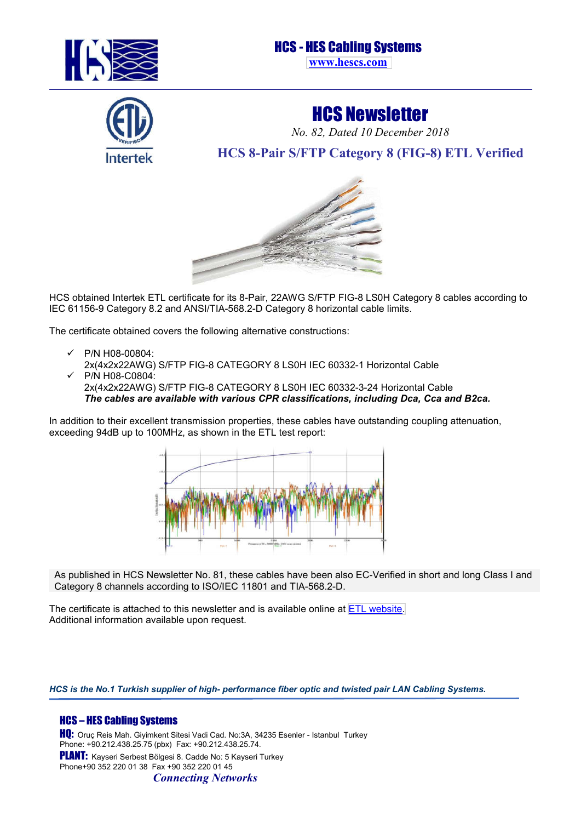

## HCS - HES Cabling Systems **[www.hescs.com](http://hescs.com/en/)**



HCS Newsletter

*No. 82, Dated 10 December 2018*

**HCS 8-Pair S/FTP Category 8 (FIG-8) ETL Verified** 



HCS obtained Intertek ETL certificate for its 8-Pair, 22AWG S/FTP FIG-8 LS0H Category 8 cables according to IEC 61156-9 Category 8.2 and ANSI/TIA-568.2-D Category 8 horizontal cable limits.

The certificate obtained covers the following alternative constructions:

- $V$  P/N H08-00804: 2x(4x2x22AWG) S/FTP FIG-8 CATEGORY 8 LS0H IEC 60332-1 Horizontal Cable
- P/N H08-C0804: 2x(4x2x22AWG) S/FTP FIG-8 CATEGORY 8 LS0H IEC 60332-3-24 Horizontal Cable *The cables are available with various CPR classifications, including Dca, Cca and B2ca.*

In addition to their excellent transmission properties, these cables have outstanding coupling attenuation, exceeding 94dB up to 100MHz, as shown in the ETL test report:



As published in HCS Newsletter No. 81, these cables have been also EC-Verified in short and long Class I and Category 8 channels according to ISO/IEC 11801 and TIA-568.2-D.

The certificate is attached to this newsletter and is available online at [ETL website.](http://www.intertek.com/ETL-Verified-Directory/Cabling-Products/HCS-HES-Cabling-Systems/) Additional information available upon request.

*HCS is the No.1 Turkish supplier of high- performance fiber optic and twisted pair LAN Cabling Systems.*

## HCS – HES Cabling Systems

HQ: Oruç Reis Mah. Giyimkent Sitesi Vadi Cad. No:3A, 34235 Esenler - Istanbul Turkey Phone: +90.212.438.25.75 (pbx) Fax: +90.212.438.25.74. PLANT: Kayseri Serbest Bölgesi 8. Cadde No: 5 Kayseri Turkey Phone+90 352 220 01 38 Fax +90 352 220 01 45 *Connecting Networks*